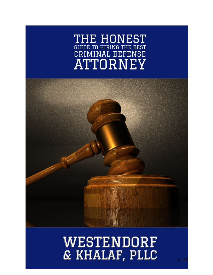# THE HONEST GUIDE TO HIRING THE BEST CRIMINAL DEFENSE **ATTORNEY**



# WESTENDORF & KHALAF, PLLC

1 of 29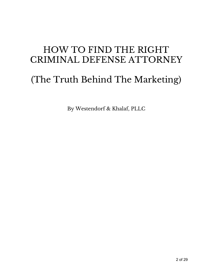## HOW TO FIND THE RIGHT CRIMINAL DEFENSE ATTORNEY

# (The Truth Behind The Marketing)

By Westendorf & Khalaf, PLLC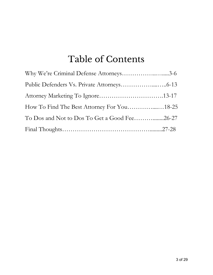# Table of Contents

| Why We're Criminal Defense Attorneys3-6      |  |
|----------------------------------------------|--|
|                                              |  |
|                                              |  |
| How To Find The Best Attorney For You18-25   |  |
| To Dos and Not to Dos To Get a Good Fee26-27 |  |
|                                              |  |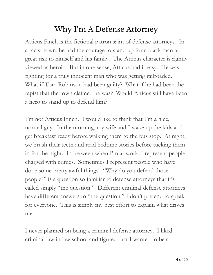## Why I' m A Defense Attorney

Atticus Finch is the fictional patron saint of defense attorneys. In a racist town, he had the courage to stand up for a black man at great risk to himself and his family. The Atticus character is rightly viewed as heroic. But in one sense, Atticus had it easy. He was fighting for a truly innocent man who was getting railroaded. What if Tom Robinson had been guilty? What if he had been the rapist that the town claimed he was? Would Atticus still have been a hero to stand up to defend him?

I'm not Atticus Finch. I would like to think that I'm a nice, normal guy. In the morning, my wife and I wake up the kids and get breakfast ready before walking them to the bus stop. At night, we brush their teeth and read bedtime stories before tucking them in for the night. In between when I'm at work, I represent people charged with crimes. Sometimes I represent people who have done some pretty awful things. "Why do you defend those people?" is a question so familiar to defense attorneys that it's called simply "the question." Different criminal defense attorneys have different answers to "the question." I don't pretend to speak for everyone. This is simply my best effort to explain what drives me.

I never planned on being a criminal defense attorney. I liked criminal law in law school and figured that I wanted to be a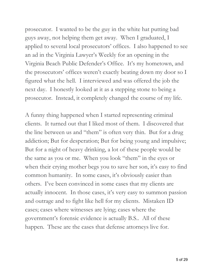prosecutor. I wanted to be the guy in the white hat putting bad guys away, not helping them get away. When I graduated, I applied to several local prosecutors' offices. I also happened to see an ad in the Virginia Lawyer's Weekly for an opening in the Virginia Beach Public Defender's Office. It's my hometown, and the prosecutors' offices weren't exactly beating down my door so I figured what the hell. I interviewed and was offered the job the next day. I honestly looked at it as a stepping stone to being a prosecutor. Instead, it completely changed the course of my life.

A funny thing happened when I started representing criminal clients. It turned out that I liked most of them. I discovered that the line between us and "them" is often very thin. But for a drug addiction; But for desperation; But for being young and impulsive; But for a night of heavy drinking, a lot of these people would be the same as you or me. When you look "them" in the eyes or when their crying mother begs you to save her son, it's easy to find common humanity. In some cases, it's obviously easier than others. I've been convinced in some cases that my clients are actually innocent. In those cases, it's very easy to summon passion and outrage and to fight like hell for my clients. Mistaken ID cases; cases where witnesses are lying; cases where the government's forensic evidence is actually B.S.. All of these happen. These are the cases that defense attorneys live for.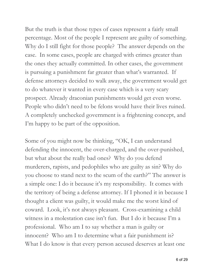But the truth is that those types of cases represent a fairly small percentage. Most of the people I represent are guilty of something. Why do I still fight for those people? The answer depends on the case. In some cases, people are charged with crimes greater than the ones they actually committed. In other cases, the government is pursuing a punishment far greater than what's warranted. If defense attorneys decided to walk away, the government would get to do whatever it wanted in every case which is a very scary prospect. Already draconian punishments would get even worse. People who didn't need to be felons would have their lives ruined. A completely unchecked government is a frightening concept, and I'm happy to be part of the opposition.

Some of you might now be thinking, "OK, I can understand defending the innocent, the over-charged, and the over-punished, but what about the really bad ones? Why do you defend murderers, rapists, and pedophiles who are guilty as sin? Why do you choose to stand next to the scum of the earth?" The answer is a simple one: I do it because it's my responsibility. It comes with the territory of being a defense attorney. If I phoned it in because I thought a client was guilty, it would make me the worst kind of coward. Look, it's not always pleasant. Cross-examining a child witness in a molestation case isn't fun. But I do it because I'm a professional. Who am I to say whether a man is guilty or innocent? Who am I to determine what a fair punishment is? What I do know is that every person accused deserves at least one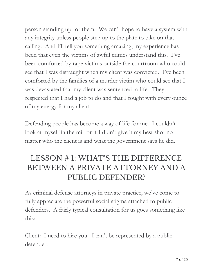person standing up for them. We can't hope to have a system with any integrity unless people step up to the plate to take on that calling. And I'll tell you something amazing, my experience has been that even the victims of awful crimes understand this. I've been comforted by rape victims outside the courtroom who could see that I was distraught when my client was convicted. I've been comforted by the families of a murder victim who could see that I was devastated that my client was sentenced to life. They respected that I had a job to do and that I fought with every ounce of my energy for my client.

Defending people has become a way of life for me. I couldn't look at myself in the mirror if I didn't give it my best shot no matter who the client is and what the government says he did.

## LESSON # 1: WHAT'S THE DIFFERENCE BETWEEN A PRIVATE ATTORNEY AND A PUBLIC DEFENDER?

As criminal defense attorneys in private practice, we've come to fully appreciate the powerful social stigma attached to public defenders. A fairly typical consultation for us goes something like this:

Client: I need to hire you. I can't be represented by a public defender.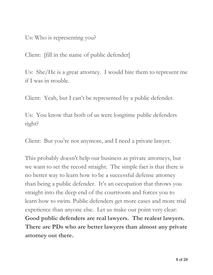Us: Who is representing you?

Client: [fill in the name of public defender]

Us: She/He is a great attorney. I would hire them to represent me if I was in trouble.

Client: Yeah, but I can't be represented by a public defender.

Us: You know that both of us were longtime public defenders right?

Client: But you're not anymore, and I need a private lawyer.

This probably doesn't help our business as private attorneys, but we want to set the record straight. The simple fact is that there is no better way to learn how to be a successful defense attorney than being a public defender. It's an occupation that throws you straight into the deep end of the courtroom and forces you to learn how to swim. Public defenders get more cases and more trial experience than anyone else. Let us make our point very clear: **Good public defenders are real lawyers. The realest lawyers. There are PDs who are better lawyers than almost any private attorney out there.**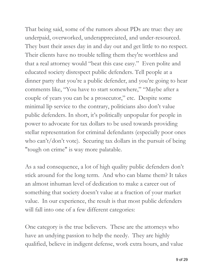That being said, some of the rumors about PDs are true: they are underpaid, overworked, underappreciated, and under-resourced. They bust their asses day in and day out and get little to no respect. Their clients have no trouble telling them they're worthless and that a real attorney would "beat this case easy." Even polite and educated society disrespect public defenders. Tell people at a dinner party that you're a public defender, and you're going to hear comments like, "You have to start somewhere," "Maybe after a couple of years you can be a prosecutor," etc. Despite some minimal lip service to the contrary, politicians also don't value public defenders. In short, it's politically unpopular for people in power to advocate for tax dollars to be used towards providing stellar representation for criminal defendants (especially poor ones who can't/don't vote). Securing tax dollars in the pursuit of being "tough on crime" is way more palatable.

As a sad consequence, a lot of high quality public defenders don't stick around for the long term. And who can blame them? It takes an almost inhuman level of dedication to make a career out of something that society doesn't value at a fraction of your market value. In our experience, the result is that most public defenders will fall into one of a few different categories:

One category is the true believers. These are the attorneys who have an undying passion to help the needy. They are highly qualified, believe in indigent defense, work extra hours, and value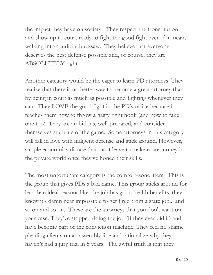the impact they have on society. They respect the Constitution and show up to court ready to fight the good fight even if it means walking into a judicial buzzsaw. They believe that everyone deserves the best defense possible and, of course, they are ABSOLUTELY right.

Another category would be the eager to learn PD attorneys. They realize that there is no better way to become a great attorney than by being in court as much as possible and fighting whenever they can. They LOVE the good fight in the PD's office because it teaches them how to throw a nasty right hook (and how to take one too). They are ambitious, well-prepared, and consider themselves students of the game. Some attorneys in this category will fall in love with indigent defense and stick around. However, simple economics dictate that most leave to make more money in the private world once they've honed their skills.

The most unfortunate category is the comfort-zone lifers. This is the group that gives PDs a bad name. This group sticks around for less than ideal reasons like: the job has good health benefits, they know it's damn near impossible to get fired from a state job... and so on and so on. These are the attorneys that you don't want on your case. They've stopped doing the job (if they ever did it) and have become part of the conviction machine. They feel no shame pleading clients on an assembly line and rationalize why they haven't had a jury trial in 5 years. The awful truth is that they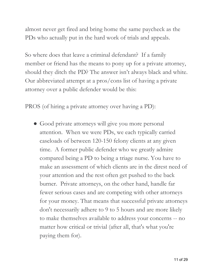almost never get fired and bring home the same paycheck as the PDs who actually put in the hard work of trials and appeals.

So where does that leave a criminal defendant? If a family member or friend has the means to pony up for a private attorney, should they ditch the PD? The answer isn't always black and white. Our abbreviated attempt at a pros/cons list of having a private attorney over a public defender would be this:

PROS (of hiring a private attorney over having a PD):

• Good private attorneys will give you more personal attention. When we were PDs, we each typically carried caseloads of between 120-150 felony clients at any given time. A former public defender who we greatly admire compared being a PD to being a triage nurse. You have to make an assessment of which clients are in the direst need of your attention and the rest often get pushed to the back burner. Private attorneys, on the other hand, handle far fewer serious cases and are competing with other attorneys for your money. That means that successful private attorneys don't necessarily adhere to 9 to 5 hours and are more likely to make themselves available to address your concerns -- no matter how critical or trivial (after all, that's what you're paying them for).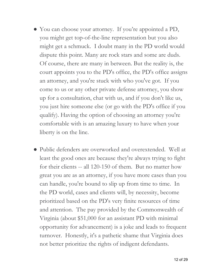- You can choose your attorney. If you're appointed a PD, you might get top-of-the-line representation but you also might get a schmuck. I doubt many in the PD world would dispute this point. Many are rock stars and some are duds. Of course, there are many in between. But the reality is, the court appoints you to the PD's office, the PD's office assigns an attorney, and you're stuck with who you've got. If you come to us or any other private defense attorney, you show up for a consultation, chat with us, and if you don't like us, you just hire someone else (or go with the PD's office if you qualify). Having the option of choosing an attorney you're comfortable with is an amazing luxury to have when your liberty is on the line.
- Public defenders are overworked and overextended. Well at least the good ones are because they're always trying to fight for their clients -- all 120-150 of them. But no matter how great you are as an attorney, if you have more cases than you can handle, you're bound to slip up from time to time. In the PD world, cases and clients will, by necessity, become prioritized based on the PD's very finite resources of time and attention. The pay provided by the Commonwealth of Virginia (about \$51,000 for an assistant PD with minimal opportunity for advancement) is a joke and leads to frequent turnover. Honestly, it's a pathetic shame that Virginia does not better prioritize the rights of indigent defendants.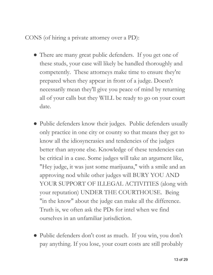#### CONS (of hiring a private attorney over a PD):

- There are many great public defenders. If you get one of these studs, your case will likely be handled thoroughly and competently. These attorneys make time to ensure they're prepared when they appear in front of a judge. Doesn't necessarily mean they'll give you peace of mind by returning all of your calls but they WILL be ready to go on your court date.
- Public defenders know their judges. Public defenders usually only practice in one city or county so that means they get to know all the idiosyncrasies and tendencies of the judges better than anyone else. Knowledge of these tendencies can be critical in a case. Some judges will take an argument like, "Hey judge, it was just some marijuana," with a smile and an approving nod while other judges will BURY YOU AND YOUR SUPPORT OF ILLEGAL ACTIVITIES (along with your reputation) UNDER THE COURTHOUSE. Being "in the know" about the judge can make all the difference. Truth is, we often ask the PDs for intel when we find ourselves in an unfamiliar jurisdiction.
- Public defenders don't cost as much. If you win, you don't pay anything. If you lose, your court costs are still probably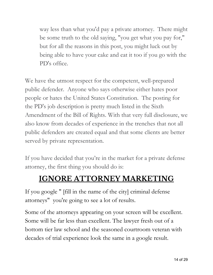way less than what you'd pay a private attorney. There might be some truth to the old saying, "you get what you pay for," but for all the reasons in this post, you might luck out by being able to have your cake and eat it too if you go with the PD's office.

We have the utmost respect for the competent, well-prepared public defender. Anyone who says otherwise either hates poor people or hates the United States Constitution. The posting for the PD's job description is pretty much listed in the Sixth Amendment of the Bill of Rights. With that very full disclosure, we also know from decades of experience in the trenches that not all public defenders are created equal and that some clients are better served by private representation.

If you have decided that you're in the market for a private defense attorney, the first thing you should do is:

## **IGNORE ATTORNEY MARKETING**

If you google " [fill in the name of the city] criminal defense attorneys" you're going to see a lot of results.

Some of the attorneys appearing on your screen will be excellent. Some will be far less than excellent. The lawyer fresh out of a bottom tier law school and the seasoned courtroom veteran with decades of trial experience look the same in a google result.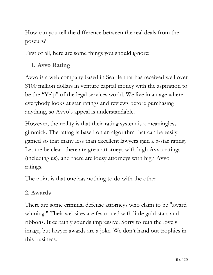How can you tell the difference between the real deals from the poseurs?

First of all, here are some things you should ignore:

## **1. Avvo Rating**

Avvo is a web company based in Seattle that has received well over \$100 million dollars in venture capital money with the aspiration to be the "Yelp" of the legal services world. We live in an age where everybody looks at star ratings and reviews before purchasing anything, so Avvo's appeal is understandable.

However, the reality is that their rating system is a meaningless gimmick. The rating is based on an algorithm that can be easily gamed so that many less than excellent lawyers gain a 5-star rating. Let me be clear: there are great attorneys with high Avvo ratings (including us), and there are lousy attorneys with high Avvo ratings.

The point is that one has nothing to do with the other.

#### **2. Awards**

There are some criminal defense attorneys who claim to be "award winning." Their websites are festooned with little gold stars and ribbons. It certainly sounds impressive. Sorry to ruin the lovely image, but lawyer awards are a joke. We don't hand out trophies in this business.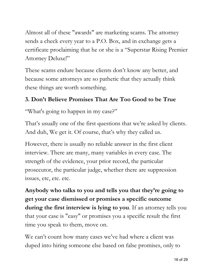Almost all of these "awards" are marketing scams. The attorney sends a check every year to a P.O. Box, and in exchange gets a certificate proclaiming that he or she is a "Superstar Rising Premier Attorney Deluxe!"

These scams endure because clients don't know any better, and because some attorneys are so pathetic that they actually think these things are worth something.

## **3. Don't Believe Promises That Are Too Good to be True**

"What's going to happen in my case?"

That's usually one of the first questions that we're asked by clients. And duh, We get it. Of course, that's why they called us.

However, there is usually no reliable answer in the first client interview. There are many, many variables in every case. The strength of the evidence, your prior record, the particular prosecutor, the particular judge, whether there are suppression issues, etc, etc. etc.

**Anybody who talks to you and tells you that they're going to get your case dismissed or promises a specific outcome during the first interview is lying to you**. If an attorney tells you that your case is "easy" or promises you a specific result the first time you speak to them, move on.

We can't count how many cases we've had where a client was duped into hiring someone else based on false promises, only to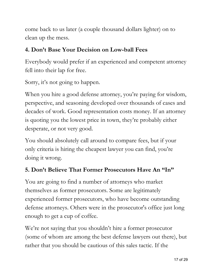come back to us later (a couple thousand dollars lighter) on to clean up the mess.

#### **4. Don't Base Your Decision on Low-ball Fees**

Everybody would prefer if an experienced and competent attorney fell into their lap for free.

Sorry, it's not going to happen.

When you hire a good defense attorney, you're paying for wisdom, perspective, and seasoning developed over thousands of cases and decades of work. Good representation costs money. If an attorney is quoting you the lowest price in town, they're probably either desperate, or not very good.

You should absolutely call around to compare fees, but if your only criteria is hiring the cheapest lawyer you can find, you're doing it wrong.

## **5. Don't Believe That Former Prosecutors Have An "In"**

You are going to find a number of attorneys who market themselves as former prosecutors. Some are legitimately experienced former prosecutors, who have become outstanding defense attorneys. Others were in the prosecutor's office just long enough to get a cup of coffee.

We're not saying that you shouldn't hire a former prosecutor (some of whom are among the best defense lawyers out there), but rather that you should be cautious of this sales tactic. If the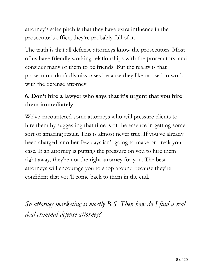attorney's sales pitch is that they have extra influence in the prosecutor's office, they're probably full of it.

The truth is that all defense attorneys know the prosecutors. Most of us have friendly working relationships with the prosecutors, and consider many of them to be friends. But the reality is that prosecutors don't dismiss cases because they like or used to work with the defense attorney.

## **6. Don't hire a lawyer who says that it's urgent that you hire them immediately.**

We've encountered some attorneys who will pressure clients to hire them by suggesting that time is of the essence in getting some sort of amazing result. This is almost never true. If you've already been charged, another few days isn't going to make or break your case. If an attorney is putting the pressure on you to hire them right away, they're not the right attorney for you. The best attorneys will encourage you to shop around because they're confident that you'll come back to them in the end.

*So attorney marketing is mostly B.S. Then how do I find a real deal criminal defense attorney?*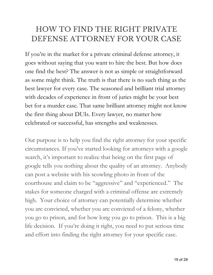## HOW TO FIND THE RIGHT PRIVATE DEFENSE ATTORNEY FOR YOUR CASE

If you're in the market for a private criminal defense attorney, it goes without saying that you want to hire the best. But how does one find the best? The answer is not as simple or straightforward as some might think. The truth is that there is no such thing as the best lawyer for every case. The seasoned and brilliant trial attorney with decades of experience in front of juries might be your best bet for a murder case. That same brilliant attorney might not know the first thing about DUIs. Every lawyer, no matter how celebrated or successful, has strengths and weaknesses.

Our purpose is to help you find the right attorney for your specific circumstances. If you've started looking for attorneys with a google search, it's important to realize that being on the first page of google tells you nothing about the quality of an attorney. Anybody can post a website with his scowling photo in front of the courthouse and claim to be "aggressive" and "experienced." The stakes for someone charged with a criminal offense are extremely high. Your choice of attorney can potentially determine whether you are convicted, whether you are convicted of a felony, whether you go to prison, and for how long you go to prison. This is a big life decision. If you're doing it right, you need to put serious time and effort into finding the right attorney for your specific case.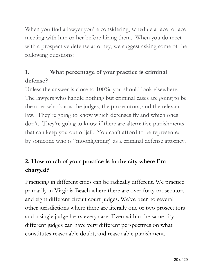When you find a lawyer you're considering, schedule a face to face meeting with him or her before hiring them. When you do meet with a prospective defense attorney, we suggest asking some of the following questions:

## **1. What percentage of your practice is criminal defense?**

Unless the answer is close to 100%, you should look elsewhere. The lawyers who handle nothing but criminal cases are going to be the ones who know the judges, the prosecutors, and the relevant law. They're going to know which defenses fly and which ones don't. They're going to know if there are alternative punishments that can keep you out of jail. You can't afford to be represented by someone who is "moonlighting" as a criminal defense attorney.

## **2. How much of your practice is in the city where I'm charged?**

Practicing in different cities can be radically different. We practice primarily in Virginia Beach where there are over forty prosecutors and eight different circuit court judges. We've been to several other jurisdictions where there are literally one or two prosecutors and a single judge hears every case. Even within the same city, different judges can have very different perspectives on what constitutes reasonable doubt, and reasonable punishment.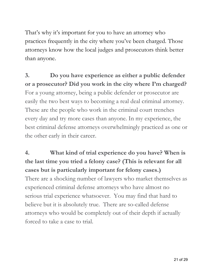That's why it's important for you to have an attorney who practices frequently in the city where you've been charged. Those attorneys know how the local judges and prosecutors think better than anyone.

**3. Do you have experience as either a public defender or a prosecutor? Did you work in the city where I'm charged?** For a young attorney, being a public defender or prosecutor are easily the two best ways to becoming a real deal criminal attorney. These are the people who work in the criminal court trenches every day and try more cases than anyone. In my experience, the best criminal defense attorneys overwhelmingly practiced as one or the other early in their career.

**4. What kind of trial experience do you have? When is the last time you tried a felony case? (This is relevant for all cases but is particularly important for felony cases.)** There are a shocking number of lawyers who market themselves as experienced criminal defense attorneys who have almost no serious trial experience whatsoever. You may find that hard to believe but it is absolutely true. There are so-called defense attorneys who would be completely out of their depth if actually forced to take a case to trial.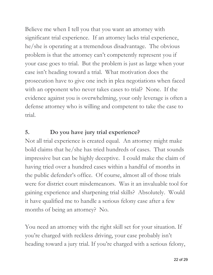Believe me when I tell you that you want an attorney with significant trial experience. If an attorney lacks trial experience, he/she is operating at a tremendous disadvantage. The obvious problem is that the attorney can't competently represent you if your case goes to trial. But the problem is just as large when your case isn't heading toward a trial. What motivation does the prosecution have to give one inch in plea negotiations when faced with an opponent who never takes cases to trial? None. If the evidence against you is overwhelming, your only leverage is often a defense attorney who is willing and competent to take the case to trial.

#### **5. Do you have jury trial experience?**

Not all trial experience is created equal. An attorney might make bold claims that he/she has tried hundreds of cases. That sounds impressive but can be highly deceptive. I could make the claim of having tried over a hundred cases within a handful of months in the public defender's office. Of course, almost all of those trials were for district court misdemeanors. Was it an invaluable tool for gaining experience and sharpening trial skills? Absolutely. Would it have qualified me to handle a serious felony case after a few months of being an attorney? No.

You need an attorney with the right skill set for your situation. If you're charged with reckless driving, your case probably isn't heading toward a jury trial. If you're charged with a serious felony,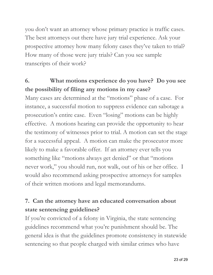you don't want an attorney whose primary practice is traffic cases. The best attorneys out there have jury trial experience. Ask your prospective attorney how many felony cases they've taken to trial? How many of those were jury trials? Can you see sample transcripts of their work?

## **6. What motions experience do you have? Do you see the possibility of filing any motions in my case?**

Many cases are determined at the "motions" phase of a case. For instance, a successful motion to suppress evidence can sabotage a prosecution's entire case. Even "losing" motions can be highly effective. A motions hearing can provide the opportunity to hear the testimony of witnesses prior to trial. A motion can set the stage for a successful appeal. A motion can make the prosecutor more likely to make a favorable offer. If an attorney ever tells you something like "motions always get denied" or that "motions never work," you should run, not walk, out of his or her office. I would also recommend asking prospective attorneys for samples of their written motions and legal memorandums.

## **7. Can the attorney have an educated conversation about state sentencing guidelines?**

If you're convicted of a felony in Virginia, the state sentencing guidelines recommend what you're punishment should be. The general idea is that the guidelines promote consistency in statewide sentencing so that people charged with similar crimes who have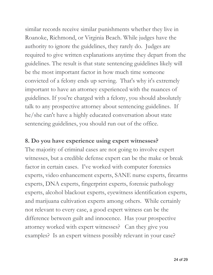similar records receive similar punishments whether they live in Roanoke, Richmond, or Virginia Beach. While judges have the authority to ignore the guidelines, they rarely do. Judges are required to give written explanations anytime they depart from the guidelines. The result is that state sentencing guidelines likely will be the most important factor in how much time someone convicted of a felony ends up serving. That's why it's extremely important to have an attorney experienced with the nuances of guidelines. If you're charged with a felony, you should absolutely talk to any prospective attorney about sentencing guidelines. If he/she can't have a highly educated conversation about state sentencing guidelines, you should run out of the office.

#### **8. Do you have experience using expert witnesses?**

The majority of criminal cases are not going to involve expert witnesses, but a credible defense expert can be the make or break factor in certain cases. I've worked with computer forensics experts, video enhancement experts, SANE nurse experts, firearms experts, DNA experts, fingerprint experts, forensic pathology experts, alcohol blackout experts, eyewitness identification experts, and marijuana cultivation experts among others. While certainly not relevant to every case, a good expert witness can be the difference between guilt and innocence. Has your prospective attorney worked with expert witnesses? Can they give you examples? Is an expert witness possibly relevant in your case?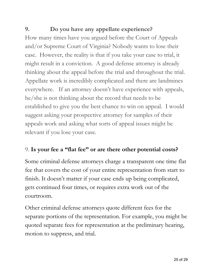## **9. Do you have any appellate experience?**

How many times have you argued before the Court of Appeals and/or Supreme Court of Virginia? Nobody wants to lose their case. However, the reality is that if you take your case to trial, it might result in a conviction. A good defense attorney is already thinking about the appeal before the trial and throughout the trial. Appellate work is incredibly complicated and there are landmines everywhere. If an attorney doesn't have experience with appeals, he/she is not thinking about the record that needs to be established to give you the best chance to win on appeal. I would suggest asking your prospective attorney for samples of their appeals work and asking what sorts of appeal issues might be relevant if you lose your case.

## 9. **Is your fee a "flat fee" or are there other potential costs?**

Some criminal defense attorneys charge a transparent one time flat fee that covers the cost of your entire representation from start to finish. It doesn't matter if your case ends up being complicated, gets continued four times, or requires extra work out of the courtroom.

Other criminal defense attorneys quote different fees for the separate portions of the representation. For example, you might be quoted separate fees for representation at the preliminary hearing, motion to suppress, and trial.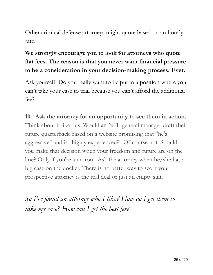Other criminal defense attorneys might quote based on an hourly rate.

## **We strongly encourage you to look for attorneys who quote flat fees. The reason is that you never want financial pressure to be a consideration in your decision-making process. Ever.**

Ask yourself. Do you really want to be put in a position where you can't take your case to trial because you can't afford the additional fee?

## **10. Ask the attorney for an opportunity to see them in action.** Think about it like this. Would an NFL general manager draft their future quarterback based on a website promising that "he's aggressive" and is "highly experienced?" Of course not. Should you make that decision when your freedom and future are on the line? Only if you're a moron. Ask the attorney when he/she has a big case on the docket. There is no better way to see if your prospective attorney is the real deal or just an empty suit.

*So I've found an attorney who I like? How do I get them to take my case? How can I get the best fee?*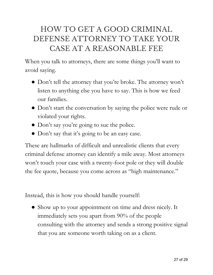## HOW TO GET A GOOD CRIMINAL DEFENSE ATTORNEY TO TAKE YOUR CASE AT A REASONABLE FEE

When you talk to attorneys, there are some things you'll want to avoid saying.

- Don't tell the attorney that you're broke. The attorney won't listen to anything else you have to say. This is how we feed our families.
- Don't start the conversation by saying the police were rude or violated your rights.
- Don't say you're going to sue the police.
- Don't say that it's going to be an easy case.

These are hallmarks of difficult and unrealistic clients that every criminal defense attorney can identify a mile away. Most attorneys won't touch your case with a twenty-foot pole or they will double the fee quote, because you come across as "high maintenance."

Instead, this is how you should handle yourself:

• Show up to your appointment on time and dress nicely. It immediately sets you apart from 90% of the people consulting with the attorney and sends a strong positive signal that you are someone worth taking on as a client.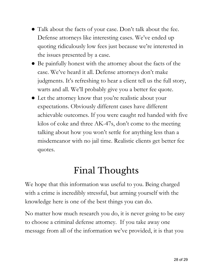- Talk about the facts of your case. Don't talk about the fee. Defense attorneys like interesting cases. We've ended up quoting ridiculously low fees just because we're interested in the issues presented by a case.
- Be painfully honest with the attorney about the facts of the case. We've heard it all. Defense attorneys don't make judgments. It's refreshing to hear a client tell us the full story, warts and all. We'll probably give you a better fee quote.
- Let the attorney know that you're realistic about your expectations. Obviously different cases have different achievable outcomes. If you were caught red handed with five kilos of coke and three AK-47s, don't come to the meeting talking about how you won't settle for anything less than a misdemeanor with no jail time. Realistic clients get better fee quotes.

# Final Thoughts

We hope that this information was useful to you. Being charged with a crime is incredibly stressful, but arming yourself with the knowledge here is one of the best things you can do.

No matter how much research you do, it is never going to be easy to choose a criminal defense attorney. If you take away one message from all of the information we've provided, it is that you